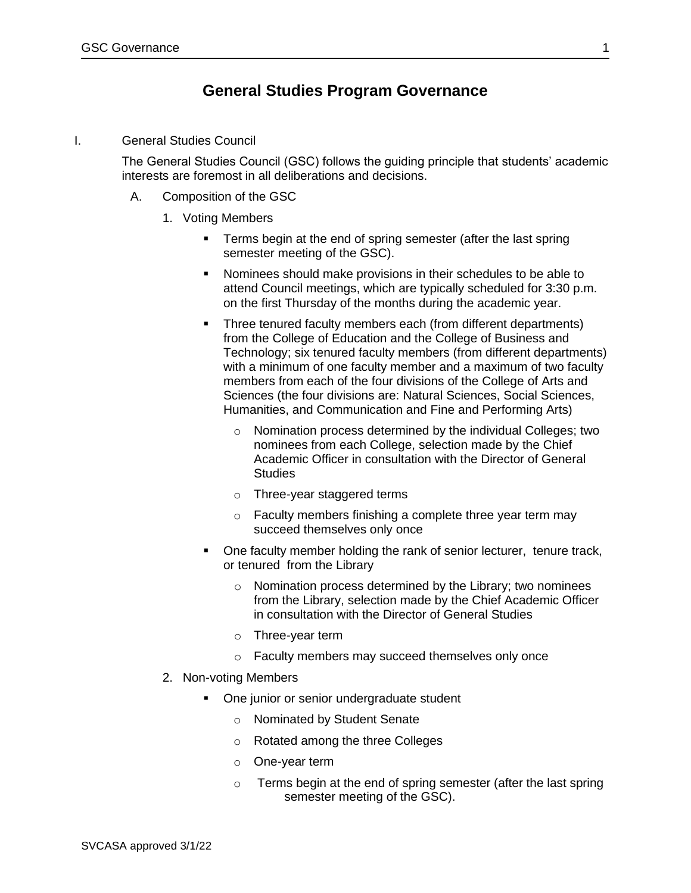## **General Studies Program Governance**

I. General Studies Council

The General Studies Council (GSC) follows the guiding principle that students' academic interests are foremost in all deliberations and decisions.

- A. Composition of the GSC
	- 1. Voting Members
		- Terms begin at the end of spring semester (after the last spring semester meeting of the GSC).
		- Nominees should make provisions in their schedules to be able to attend Council meetings, which are typically scheduled for 3:30 p.m. on the first Thursday of the months during the academic year.
		- Three tenured faculty members each (from different departments) from the College of Education and the College of Business and Technology; six tenured faculty members (from different departments) with a minimum of one faculty member and a maximum of two faculty members from each of the four divisions of the College of Arts and Sciences (the four divisions are: Natural Sciences, Social Sciences, Humanities, and Communication and Fine and Performing Arts)
			- o Nomination process determined by the individual Colleges; two nominees from each College, selection made by the Chief Academic Officer in consultation with the Director of General **Studies**
			- o Three-year staggered terms
			- o Faculty members finishing a complete three year term may succeed themselves only once
		- One faculty member holding the rank of senior lecturer, tenure track, or tenured from the Library
			- o Nomination process determined by the Library; two nominees from the Library, selection made by the Chief Academic Officer in consultation with the Director of General Studies
			- o Three-year term
			- o Faculty members may succeed themselves only once
	- 2. Non-voting Members
		- One junior or senior undergraduate student
			- o Nominated by Student Senate
			- o Rotated among the three Colleges
			- o One-year term
			- o Terms begin at the end of spring semester (after the last spring semester meeting of the GSC).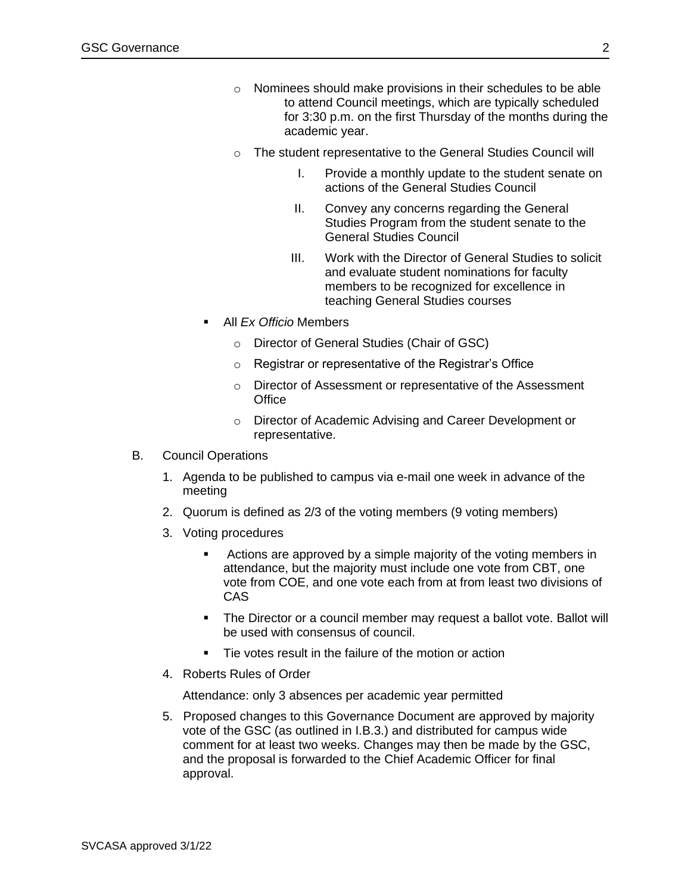- o Nominees should make provisions in their schedules to be able to attend Council meetings, which are typically scheduled for 3:30 p.m. on the first Thursday of the months during the academic year.
- o The student representative to the General Studies Council will
	- I. Provide a monthly update to the student senate on actions of the General Studies Council
	- II. Convey any concerns regarding the General Studies Program from the student senate to the General Studies Council
	- III. Work with the Director of General Studies to solicit and evaluate student nominations for faculty members to be recognized for excellence in teaching General Studies courses
- All *Ex Officio* Members
	- o Director of General Studies (Chair of GSC)
	- o Registrar or representative of the Registrar's Office
	- o Director of Assessment or representative of the Assessment **Office**
	- o Director of Academic Advising and Career Development or representative.
- B. Council Operations
	- 1. Agenda to be published to campus via e-mail one week in advance of the meeting
	- 2. Quorum is defined as 2/3 of the voting members (9 voting members)
	- 3. Voting procedures
		- Actions are approved by a simple majority of the voting members in attendance, but the majority must include one vote from CBT, one vote from COE, and one vote each from at from least two divisions of CAS
		- The Director or a council member may request a ballot vote. Ballot will be used with consensus of council.
		- Tie votes result in the failure of the motion or action
	- 4. Roberts Rules of Order

Attendance: only 3 absences per academic year permitted

5. Proposed changes to this Governance Document are approved by majority vote of the GSC (as outlined in I.B.3.) and distributed for campus wide comment for at least two weeks. Changes may then be made by the GSC, and the proposal is forwarded to the Chief Academic Officer for final approval.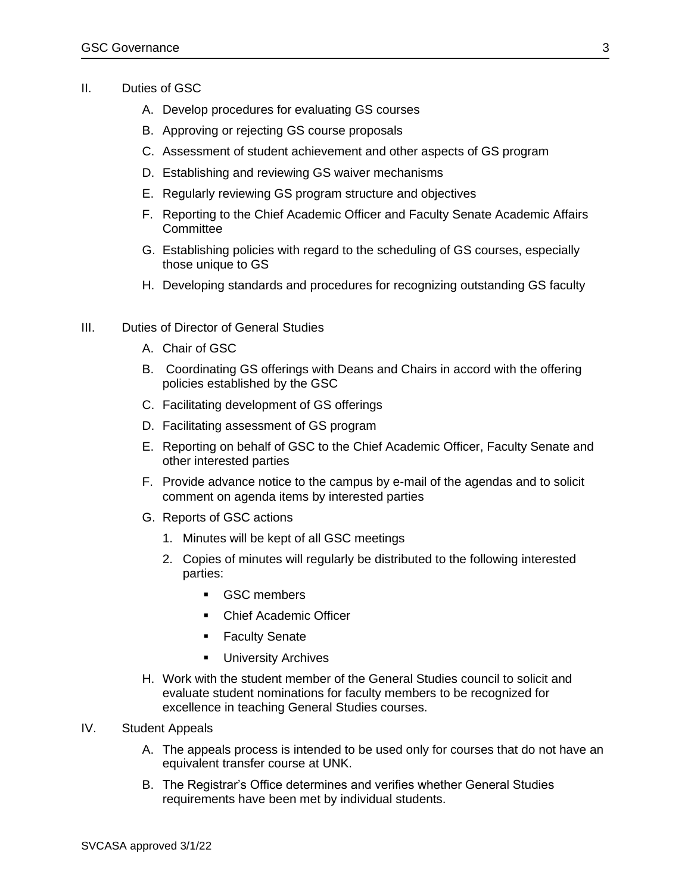- II. Duties of GSC
	- A. Develop procedures for evaluating GS courses
	- B. Approving or rejecting GS course proposals
	- C. Assessment of student achievement and other aspects of GS program
	- D. Establishing and reviewing GS waiver mechanisms
	- E. Regularly reviewing GS program structure and objectives
	- F. Reporting to the Chief Academic Officer and Faculty Senate Academic Affairs **Committee**
	- G. Establishing policies with regard to the scheduling of GS courses, especially those unique to GS
	- H. Developing standards and procedures for recognizing outstanding GS faculty
- III. Duties of Director of General Studies
	- A. Chair of GSC
	- B. Coordinating GS offerings with Deans and Chairs in accord with the offering policies established by the GSC
	- C. Facilitating development of GS offerings
	- D. Facilitating assessment of GS program
	- E. Reporting on behalf of GSC to the Chief Academic Officer, Faculty Senate and other interested parties
	- F. Provide advance notice to the campus by e-mail of the agendas and to solicit comment on agenda items by interested parties
	- G. Reports of GSC actions
		- 1. Minutes will be kept of all GSC meetings
		- 2. Copies of minutes will regularly be distributed to the following interested parties:
			- GSC members
			- Chief Academic Officer
			- **EXECUREY** Senate
			- University Archives
	- H. Work with the student member of the General Studies council to solicit and evaluate student nominations for faculty members to be recognized for excellence in teaching General Studies courses.
- IV. Student Appeals
	- A. The appeals process is intended to be used only for courses that do not have an equivalent transfer course at UNK.
	- B. The Registrar's Office determines and verifies whether General Studies requirements have been met by individual students.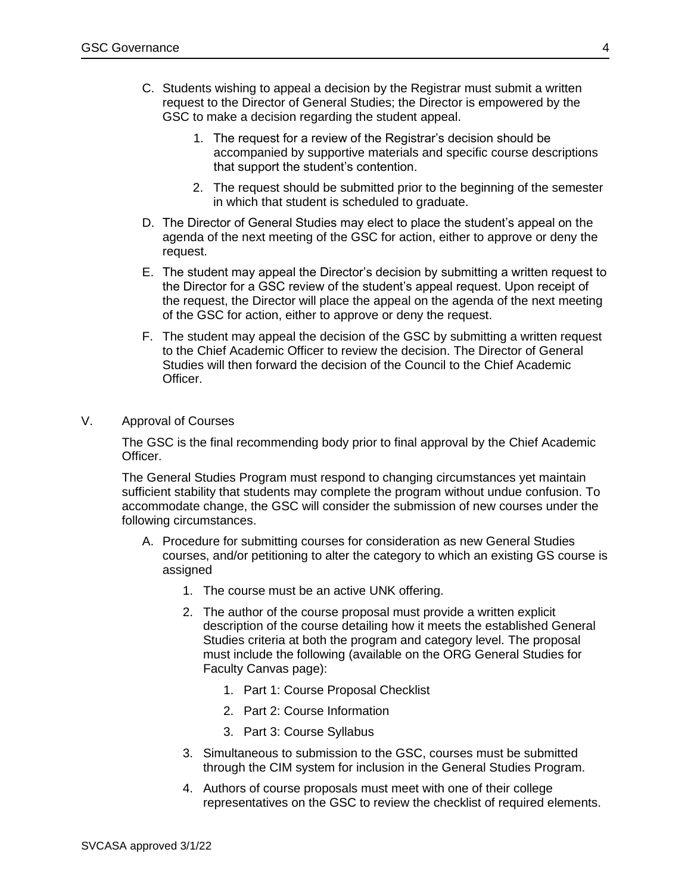- C. Students wishing to appeal a decision by the Registrar must submit a written request to the Director of General Studies; the Director is empowered by the GSC to make a decision regarding the student appeal.
	- 1. The request for a review of the Registrar's decision should be accompanied by supportive materials and specific course descriptions that support the student's contention.
	- 2. The request should be submitted prior to the beginning of the semester in which that student is scheduled to graduate.
- D. The Director of General Studies may elect to place the student's appeal on the agenda of the next meeting of the GSC for action, either to approve or deny the request.
- E. The student may appeal the Director's decision by submitting a written request to the Director for a GSC review of the student's appeal request. Upon receipt of the request, the Director will place the appeal on the agenda of the next meeting of the GSC for action, either to approve or deny the request.
- F. The student may appeal the decision of the GSC by submitting a written request to the Chief Academic Officer to review the decision. The Director of General Studies will then forward the decision of the Council to the Chief Academic Officer.
- V. Approval of Courses

The GSC is the final recommending body prior to final approval by the Chief Academic Officer.

The General Studies Program must respond to changing circumstances yet maintain sufficient stability that students may complete the program without undue confusion. To accommodate change, the GSC will consider the submission of new courses under the following circumstances.

- A. Procedure for submitting courses for consideration as new General Studies courses, and/or petitioning to alter the category to which an existing GS course is assigned
	- 1. The course must be an active UNK offering.
	- 2. The author of the course proposal must provide a written explicit description of the course detailing how it meets the established General Studies criteria at both the program and category level. The proposal must include the following (available on the ORG General Studies for Faculty Canvas page):
		- 1. Part 1: Course Proposal Checklist
		- 2. Part 2: Course Information
		- 3. Part 3: Course Syllabus
	- 3. Simultaneous to submission to the GSC, courses must be submitted through the CIM system for inclusion in the General Studies Program.
	- 4. Authors of course proposals must meet with one of their college representatives on the GSC to review the checklist of required elements.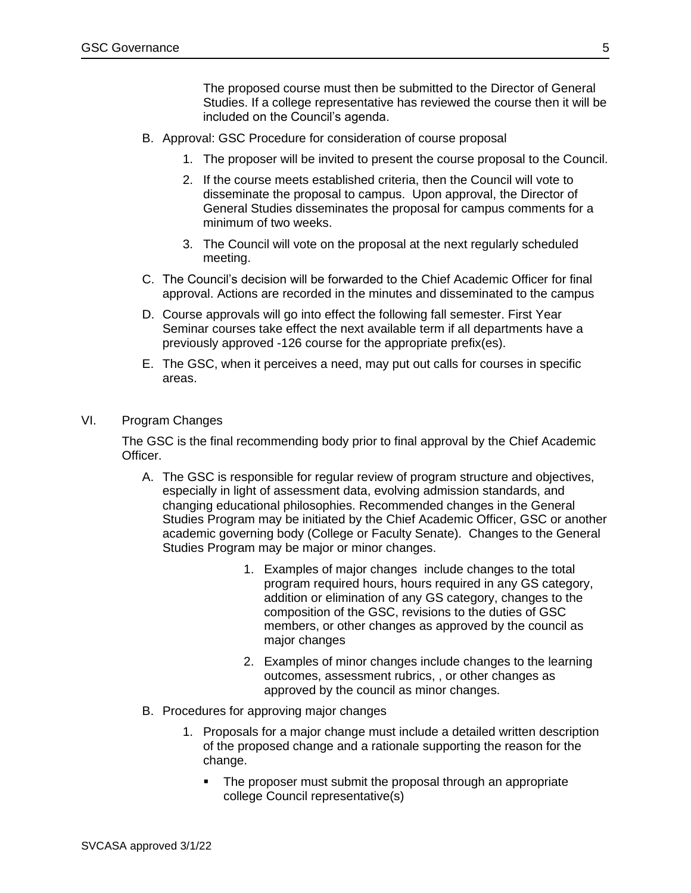The proposed course must then be submitted to the Director of General Studies. If a college representative has reviewed the course then it will be included on the Council's agenda.

- B. Approval: GSC Procedure for consideration of course proposal
	- 1. The proposer will be invited to present the course proposal to the Council.
	- 2. If the course meets established criteria, then the Council will vote to disseminate the proposal to campus. Upon approval, the Director of General Studies disseminates the proposal for campus comments for a minimum of two weeks.
	- 3. The Council will vote on the proposal at the next regularly scheduled meeting.
- C. The Council's decision will be forwarded to the Chief Academic Officer for final approval. Actions are recorded in the minutes and disseminated to the campus
- D. Course approvals will go into effect the following fall semester. First Year Seminar courses take effect the next available term if all departments have a previously approved -126 course for the appropriate prefix(es).
- E. The GSC, when it perceives a need, may put out calls for courses in specific areas.
- VI. Program Changes

The GSC is the final recommending body prior to final approval by the Chief Academic Officer.

- A. The GSC is responsible for regular review of program structure and objectives, especially in light of assessment data, evolving admission standards, and changing educational philosophies. Recommended changes in the General Studies Program may be initiated by the Chief Academic Officer, GSC or another academic governing body (College or Faculty Senate). Changes to the General Studies Program may be major or minor changes.
	- 1. Examples of major changes include changes to the total program required hours, hours required in any GS category, addition or elimination of any GS category, changes to the composition of the GSC, revisions to the duties of GSC members, or other changes as approved by the council as major changes
	- 2. Examples of minor changes include changes to the learning outcomes, assessment rubrics, , or other changes as approved by the council as minor changes.
- B. Procedures for approving major changes
	- 1. Proposals for a major change must include a detailed written description of the proposed change and a rationale supporting the reason for the change.
		- **•** The proposer must submit the proposal through an appropriate college Council representative(s)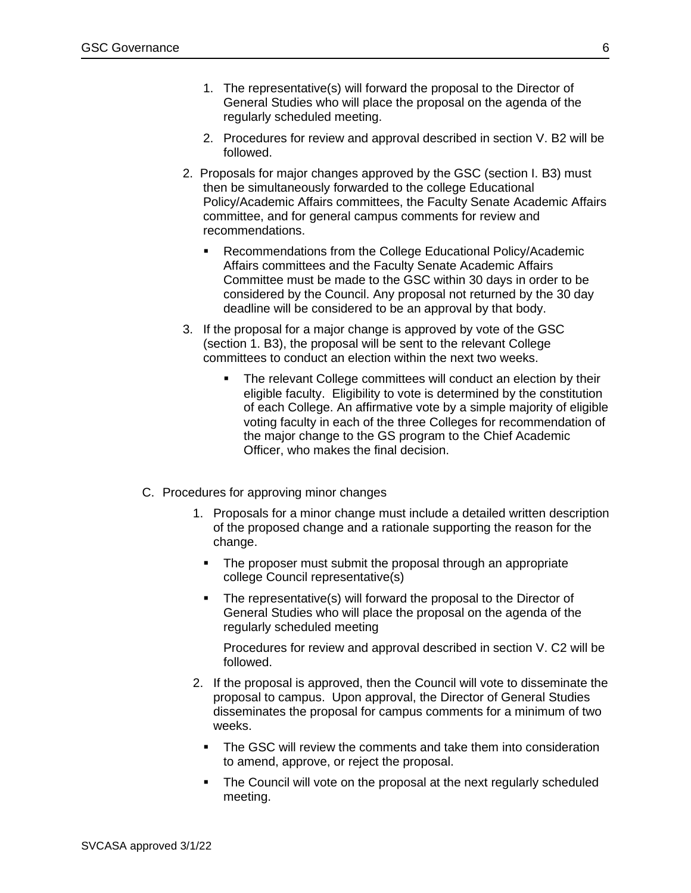- 1. The representative(s) will forward the proposal to the Director of General Studies who will place the proposal on the agenda of the regularly scheduled meeting.
- 2. Procedures for review and approval described in section V. B2 will be followed.
- 2. Proposals for major changes approved by the GSC (section I. B3) must then be simultaneously forwarded to the college Educational Policy/Academic Affairs committees, the Faculty Senate Academic Affairs committee, and for general campus comments for review and recommendations.
	- Recommendations from the College Educational Policy/Academic Affairs committees and the Faculty Senate Academic Affairs Committee must be made to the GSC within 30 days in order to be considered by the Council. Any proposal not returned by the 30 day deadline will be considered to be an approval by that body.
- 3. If the proposal for a major change is approved by vote of the GSC (section 1. B3), the proposal will be sent to the relevant College committees to conduct an election within the next two weeks.
	- The relevant College committees will conduct an election by their eligible faculty. Eligibility to vote is determined by the constitution of each College. An affirmative vote by a simple majority of eligible voting faculty in each of the three Colleges for recommendation of the major change to the GS program to the Chief Academic Officer, who makes the final decision.
- C. Procedures for approving minor changes
	- 1. Proposals for a minor change must include a detailed written description of the proposed change and a rationale supporting the reason for the change.
		- The proposer must submit the proposal through an appropriate college Council representative(s)
		- **EXECT** The representative(s) will forward the proposal to the Director of General Studies who will place the proposal on the agenda of the regularly scheduled meeting

Procedures for review and approval described in section V. C2 will be followed.

- 2. If the proposal is approved, then the Council will vote to disseminate the proposal to campus. Upon approval, the Director of General Studies disseminates the proposal for campus comments for a minimum of two weeks.
	- The GSC will review the comments and take them into consideration to amend, approve, or reject the proposal.
	- The Council will vote on the proposal at the next regularly scheduled meeting.